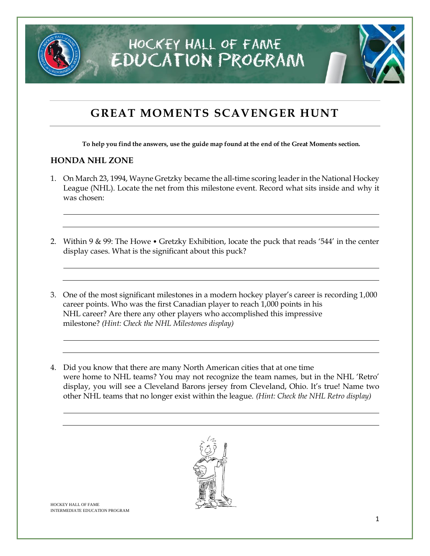

### **GREAT MOMENTS SCAVENGER HUNT**

**To help you find the answers, use the guide map found at the end of the Great Moments section.**

#### **HONDA NHL ZONE**

- 1. On March 23, 1994, Wayne Gretzky became the all-time scoring leader in the National Hockey League (NHL). Locate the net from this milestone event. Record what sits inside and why it was chosen:
- 2. Within 9 & 99: The Howe Gretzky Exhibition, locate the puck that reads '544' in the center display cases. What is the significant about this puck?
- 3. One of the most significant milestones in a modern hockey player's career is recording 1,000 career points. Who was the first Canadian player to reach 1,000 points in his NHL career? Are there any other players who accomplished this impressive milestone? *(Hint: Check the NHL Milestones display)*
- 4. Did you know that there are many North American cities that at one time were home to NHL teams? You may not recognize the team names, but in the NHL 'Retro' display, you will see a Cleveland Barons jersey from Cleveland, Ohio. It's true! Name two other NHL teams that no longer exist within the league. *(Hint: Check the NHL Retro display)*

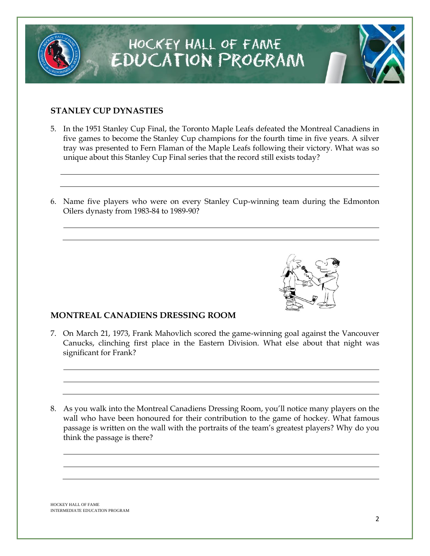### **STANLEY CUP DYNASTIES**

- 5. In the 1951 Stanley Cup Final, the Toronto Maple Leafs defeated the Montreal Canadiens in five games to become the Stanley Cup champions for the fourth time in five years. A silver tray was presented to Fern Flaman of the Maple Leafs following their victory. What was so unique about this Stanley Cup Final series that the record still exists today?
- 6. Name five players who were on every Stanley Cup-winning team during the Edmonton Oilers dynasty from 1983-84 to 1989-90?

#### **MONTREAL CANADIENS DRESSING ROOM**

- 7. On March 21, 1973, Frank Mahovlich scored the game-winning goal against the Vancouver Canucks, clinching first place in the Eastern Division. What else about that night was significant for Frank?
- 8. As you walk into the Montreal Canadiens Dressing Room, you'll notice many players on the wall who have been honoured for their contribution to the game of hockey. What famous passage is written on the wall with the portraits of the team's greatest players? Why do you think the passage is there?



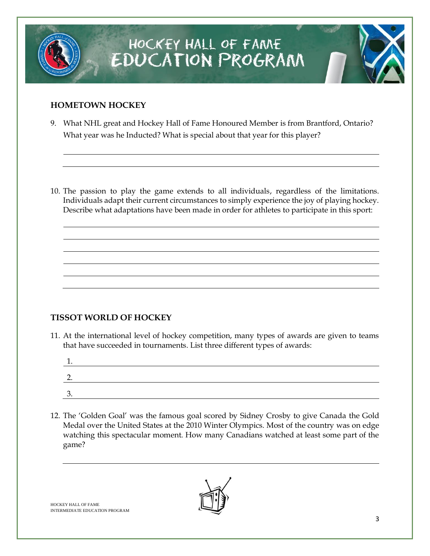

#### **HOMETOWN HOCKEY**

9. What NHL great and Hockey Hall of Fame Honoured Member is from Brantford, Ontario? What year was he Inducted? What is special about that year for this player?

10. The passion to play the game extends to all individuals, regardless of the limitations. Individuals adapt their current circumstances to simply experience the joy of playing hockey. Describe what adaptations have been made in order for athletes to participate in this sport:

#### **TISSOT WORLD OF HOCKEY**

11. At the international level of hockey competition, many types of awards are given to teams that have succeeded in tournaments. List three different types of awards:

| <b>.</b> |  |  |
|----------|--|--|
| ◠        |  |  |
| <u>.</u> |  |  |
| ર<br>◡.  |  |  |
|          |  |  |

12. The 'Golden Goal' was the famous goal scored by Sidney Crosby to give Canada the Gold Medal over the United States at the 2010 Winter Olympics. Most of the country was on edge watching this spectacular moment. How many Canadians watched at least some part of the game?

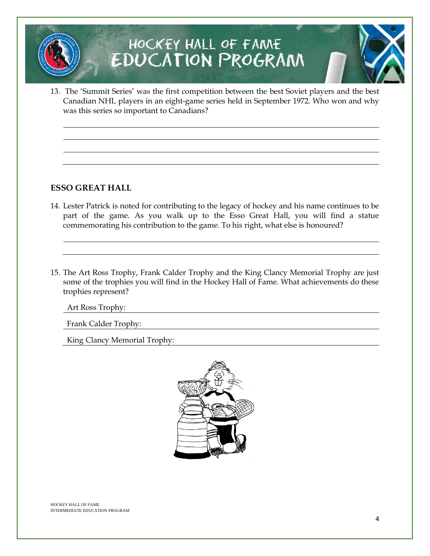13. The 'Summit Series' was the first competition between the best Soviet players and the best Canadian NHL players in an eight-game series held in September 1972. Who won and why was this series so important to Canadians?

#### **ESSO GREAT HALL**

- 14. Lester Patrick is noted for contributing to the legacy of hockey and his name continues to be part of the game. As you walk up to the Esso Great Hall, you will find a statue commemorating his contribution to the game. To his right, what else is honoured?
- 15. The Art Ross Trophy, Frank Calder Trophy and the King Clancy Memorial Trophy are just some of the trophies you will find in the Hockey Hall of Fame. What achievements do these trophies represent?

Art Ross Trophy:

Frank Calder Trophy:

King Clancy Memorial Trophy:

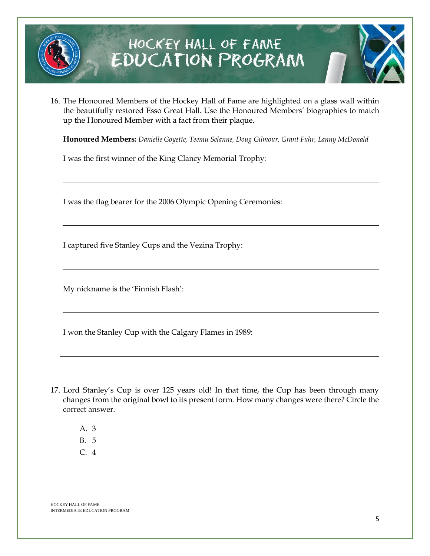

16. The Honoured Members of the Hockey Hall of Fame are highlighted on a glass wall within the beautifully restored Esso Great Hall. Use the Honoured Members' biographies to match up the Honoured Member with a fact from their plaque.

**Honoured Members:** *Danielle Goyette, Teemu Selanne, Doug Gilmour, Grant Fuhr, Lanny McDonald*

I was the first winner of the King Clancy Memorial Trophy:

I was the flag bearer for the 2006 Olympic Opening Ceremonies:

I captured five Stanley Cups and the Vezina Trophy:

My nickname is the 'Finnish Flash':

I won the Stanley Cup with the Calgary Flames in 1989:

- 17. Lord Stanley's Cup is over 125 years old! In that time, the Cup has been through many changes from the original bowl to its present form. How many changes were there? Circle the correct answer.
	- A. 3
	- B. 5
	- C. 4